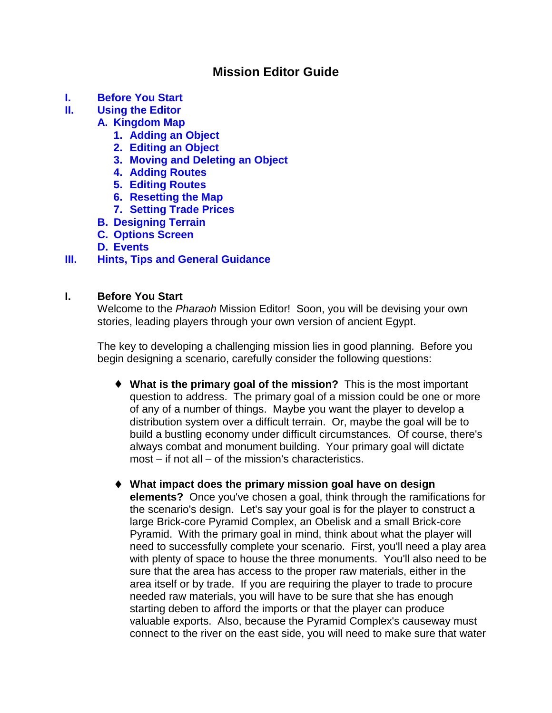# **Mission Editor Guide**

- **I. Before You Start**
- **[II. Using the Editor](#page-1-0)**

# **[A. Kingdom Map](#page-1-0)**

- **[1. Adding an Object](#page-2-0)**
- **[2. Editing an Object](#page-2-0)**
- **[3. Moving and Deleting an Object](#page-4-0)**
- **[4. Adding Routes](#page-4-0)**
- **[5. Editing Routes](#page-5-0)**
- **[6. Resetting the Map](#page-5-0)**
- **[7. Setting Trade Prices](#page-5-0)**
- **[B. Designing Terrain](#page-6-0)**
- **[C. Options Screen](#page-9-0)**

# **[D. Events](#page-14-0)**

# **[III. Hints, Tips and General Guidance](#page-21-0)**

# **I. Before You Start**

Welcome to the Pharaoh Mission Editor! Soon, you will be devising your own stories, leading players through your own version of ancient Egypt.

The key to developing a challenging mission lies in good planning. Before you begin designing a scenario, carefully consider the following questions:

- ♦ **What is the primary goal of the mission?** This is the most important question to address. The primary goal of a mission could be one or more of any of a number of things. Maybe you want the player to develop a distribution system over a difficult terrain. Or, maybe the goal will be to build a bustling economy under difficult circumstances. Of course, there's always combat and monument building. Your primary goal will dictate most – if not all – of the mission's characteristics.
- ♦ **What impact does the primary mission goal have on design elements?** Once you've chosen a goal, think through the ramifications for the scenario's design. Let's say your goal is for the player to construct a large Brick-core Pyramid Complex, an Obelisk and a small Brick-core Pyramid. With the primary goal in mind, think about what the player will need to successfully complete your scenario. First, you'll need a play area with plenty of space to house the three monuments. You'll also need to be sure that the area has access to the proper raw materials, either in the area itself or by trade. If you are requiring the player to trade to procure needed raw materials, you will have to be sure that she has enough starting deben to afford the imports or that the player can produce valuable exports. Also, because the Pyramid Complex's causeway must connect to the river on the east side, you will need to make sure that water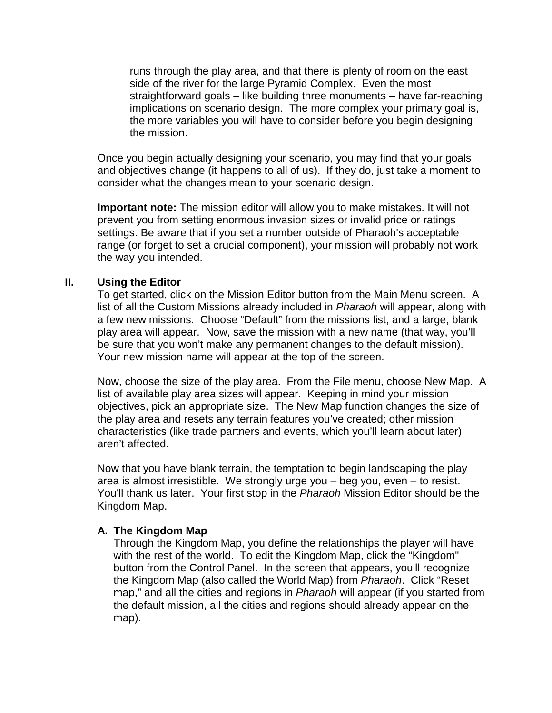<span id="page-1-0"></span>runs through the play area, and that there is plenty of room on the east side of the river for the large Pyramid Complex. Even the most straightforward goals – like building three monuments – have far-reaching implications on scenario design. The more complex your primary goal is, the more variables you will have to consider before you begin designing the mission.

Once you begin actually designing your scenario, you may find that your goals and objectives change (it happens to all of us). If they do, just take a moment to consider what the changes mean to your scenario design.

**Important note:** The mission editor will allow you to make mistakes. It will not prevent you from setting enormous invasion sizes or invalid price or ratings settings. Be aware that if you set a number outside of Pharaoh's acceptable range (or forget to set a crucial component), your mission will probably not work the way you intended.

## **II. Using the Editor**

To get started, click on the Mission Editor button from the Main Menu screen. A list of all the Custom Missions already included in Pharaoh will appear, along with a few new missions. Choose "Default" from the missions list, and a large, blank play area will appear. Now, save the mission with a new name (that way, you'll be sure that you won't make any permanent changes to the default mission). Your new mission name will appear at the top of the screen.

Now, choose the size of the play area. From the File menu, choose New Map. A list of available play area sizes will appear. Keeping in mind your mission objectives, pick an appropriate size. The New Map function changes the size of the play area and resets any terrain features you've created; other mission characteristics (like trade partners and events, which you'll learn about later) aren't affected.

Now that you have blank terrain, the temptation to begin landscaping the play area is almost irresistible. We strongly urge you – beg you, even – to resist. You'll thank us later. Your first stop in the Pharaoh Mission Editor should be the Kingdom Map.

### **A. The Kingdom Map**

Through the Kingdom Map, you define the relationships the player will have with the rest of the world. To edit the Kingdom Map, click the "Kingdom" button from the Control Panel. In the screen that appears, you'll recognize the Kingdom Map (also called the World Map) from Pharaoh. Click "Reset map," and all the cities and regions in Pharaoh will appear (if you started from the default mission, all the cities and regions should already appear on the map).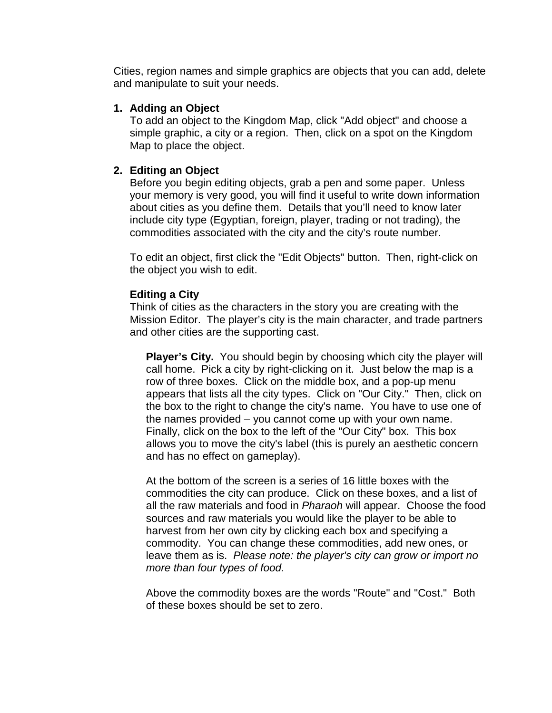<span id="page-2-0"></span>Cities, region names and simple graphics are objects that you can add, delete and manipulate to suit your needs.

## **1. Adding an Object**

To add an object to the Kingdom Map, click "Add object" and choose a simple graphic, a city or a region. Then, click on a spot on the Kingdom Map to place the object.

# **2. Editing an Object**

Before you begin editing objects, grab a pen and some paper. Unless your memory is very good, you will find it useful to write down information about cities as you define them. Details that you'll need to know later include city type (Egyptian, foreign, player, trading or not trading), the commodities associated with the city and the city's route number.

To edit an object, first click the "Edit Objects" button. Then, right-click on the object you wish to edit.

# **Editing a City**

Think of cities as the characters in the story you are creating with the Mission Editor. The player's city is the main character, and trade partners and other cities are the supporting cast.

**Player's City.** You should begin by choosing which city the player will call home. Pick a city by right-clicking on it. Just below the map is a row of three boxes. Click on the middle box, and a pop-up menu appears that lists all the city types. Click on "Our City." Then, click on the box to the right to change the city's name. You have to use one of the names provided – you cannot come up with your own name. Finally, click on the box to the left of the "Our City" box. This box allows you to move the city's label (this is purely an aesthetic concern and has no effect on gameplay).

At the bottom of the screen is a series of 16 little boxes with the commodities the city can produce. Click on these boxes, and a list of all the raw materials and food in Pharaoh will appear. Choose the food sources and raw materials you would like the player to be able to harvest from her own city by clicking each box and specifying a commodity. You can change these commodities, add new ones, or leave them as is. Please note: the player's city can grow or import no more than four types of food.

Above the commodity boxes are the words "Route" and "Cost." Both of these boxes should be set to zero.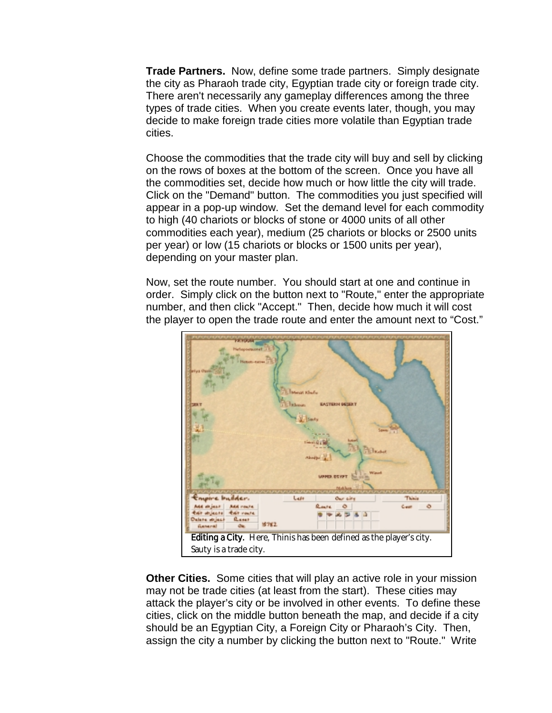**Trade Partners.** Now, define some trade partners. Simply designate the city as Pharaoh trade city, Egyptian trade city or foreign trade city. There aren't necessarily any gameplay differences among the three types of trade cities. When you create events later, though, you may decide to make foreign trade cities more volatile than Egyptian trade cities.

Choose the commodities that the trade city will buy and sell by clicking on the rows of boxes at the bottom of the screen. Once you have all the commodities set, decide how much or how little the city will trade. Click on the "Demand" button. The commodities you just specified will appear in a pop-up window. Set the demand level for each commodity to high (40 chariots or blocks of stone or 4000 units of all other commodities each year), medium (25 chariots or blocks or 2500 units per year) or low (15 chariots or blocks or 1500 units per year), depending on your master plan.

Now, set the route number. You should start at one and continue in order. Simply click on the button next to "Route," enter the appropriate number, and then click "Accept." Then, decide how much it will cost the player to open the trade route and enter the amount next to "Cost."



**Other Cities.** Some cities that will play an active role in your mission may not be trade cities (at least from the start). These cities may attack the player's city or be involved in other events. To define these cities, click on the middle button beneath the map, and decide if a city should be an Egyptian City, a Foreign City or Pharaoh's City. Then, assign the city a number by clicking the button next to "Route." Write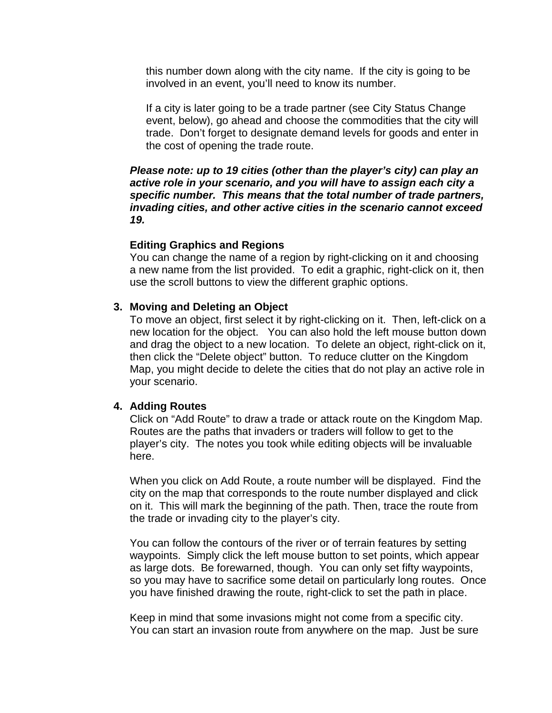<span id="page-4-0"></span>this number down along with the city name. If the city is going to be involved in an event, you'll need to know its number.

If a city is later going to be a trade partner (see City Status Change event, below), go ahead and choose the commodities that the city will trade. Don't forget to designate demand levels for goods and enter in the cost of opening the trade route.

**Please note: up to 19 cities (other than the player's city) can play an active role in your scenario, and you will have to assign each city a specific number. This means that the total number of trade partners, invading cities, and other active cities in the scenario cannot exceed 19.**

### **Editing Graphics and Regions**

You can change the name of a region by right-clicking on it and choosing a new name from the list provided. To edit a graphic, right-click on it, then use the scroll buttons to view the different graphic options.

### **3. Moving and Deleting an Object**

To move an object, first select it by right-clicking on it. Then, left-click on a new location for the object. You can also hold the left mouse button down and drag the object to a new location. To delete an object, right-click on it, then click the "Delete object" button. To reduce clutter on the Kingdom Map, you might decide to delete the cities that do not play an active role in your scenario.

### **4. Adding Routes**

Click on "Add Route" to draw a trade or attack route on the Kingdom Map. Routes are the paths that invaders or traders will follow to get to the player's city. The notes you took while editing objects will be invaluable here.

When you click on Add Route, a route number will be displayed. Find the city on the map that corresponds to the route number displayed and click on it. This will mark the beginning of the path. Then, trace the route from the trade or invading city to the player's city.

You can follow the contours of the river or of terrain features by setting waypoints. Simply click the left mouse button to set points, which appear as large dots. Be forewarned, though. You can only set fifty waypoints, so you may have to sacrifice some detail on particularly long routes. Once you have finished drawing the route, right-click to set the path in place.

Keep in mind that some invasions might not come from a specific city. You can start an invasion route from anywhere on the map. Just be sure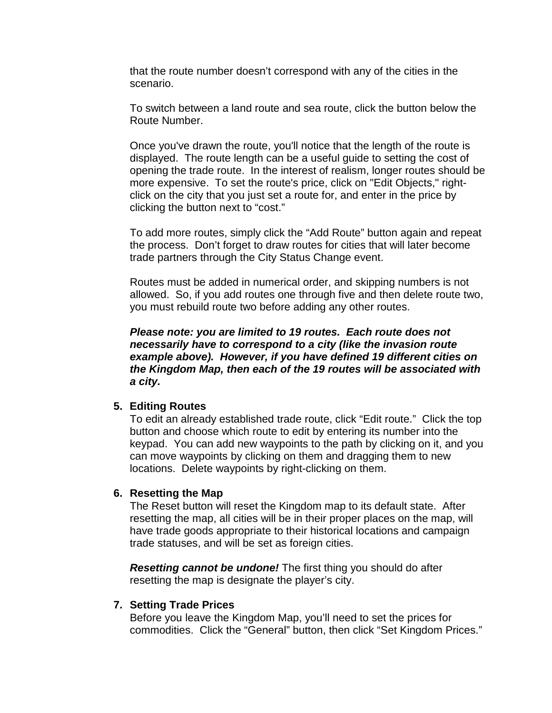<span id="page-5-0"></span>that the route number doesn't correspond with any of the cities in the scenario.

To switch between a land route and sea route, click the button below the Route Number.

Once you've drawn the route, you'll notice that the length of the route is displayed. The route length can be a useful guide to setting the cost of opening the trade route. In the interest of realism, longer routes should be more expensive. To set the route's price, click on "Edit Objects," rightclick on the city that you just set a route for, and enter in the price by clicking the button next to "cost."

To add more routes, simply click the "Add Route" button again and repeat the process. Don't forget to draw routes for cities that will later become trade partners through the City Status Change event.

Routes must be added in numerical order, and skipping numbers is not allowed. So, if you add routes one through five and then delete route two, you must rebuild route two before adding any other routes.

**Please note: you are limited to 19 routes. Each route does not necessarily have to correspond to a city (like the invasion route example above). However, if you have defined 19 different cities on the Kingdom Map, then each of the 19 routes will be associated with a city.**

### **5. Editing Routes**

To edit an already established trade route, click "Edit route." Click the top button and choose which route to edit by entering its number into the keypad. You can add new waypoints to the path by clicking on it, and you can move waypoints by clicking on them and dragging them to new locations. Delete waypoints by right-clicking on them.

### **6. Resetting the Map**

The Reset button will reset the Kingdom map to its default state. After resetting the map, all cities will be in their proper places on the map, will have trade goods appropriate to their historical locations and campaign trade statuses, and will be set as foreign cities.

**Resetting cannot be undone!** The first thing you should do after resetting the map is designate the player's city.

### **7. Setting Trade Prices**

Before you leave the Kingdom Map, you'll need to set the prices for commodities. Click the "General" button, then click "Set Kingdom Prices."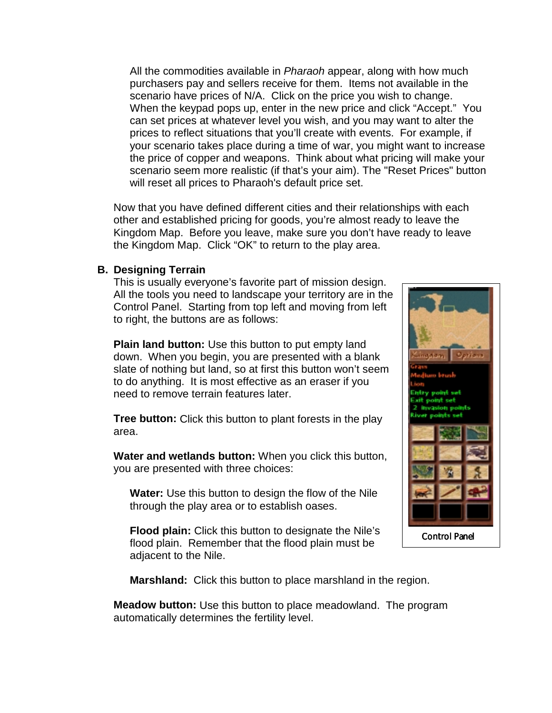<span id="page-6-0"></span>All the commodities available in *Pharaoh* appear, along with how much purchasers pay and sellers receive for them. Items not available in the scenario have prices of N/A. Click on the price you wish to change. When the keypad pops up, enter in the new price and click "Accept." You can set prices at whatever level you wish, and you may want to alter the prices to reflect situations that you'll create with events. For example, if your scenario takes place during a time of war, you might want to increase the price of copper and weapons. Think about what pricing will make your scenario seem more realistic (if that's your aim). The "Reset Prices" button will reset all prices to Pharaoh's default price set.

Now that you have defined different cities and their relationships with each other and established pricing for goods, you're almost ready to leave the Kingdom Map. Before you leave, make sure you don't have ready to leave the Kingdom Map. Click "OK" to return to the play area.

### **B. Designing Terrain**

This is usually everyone's favorite part of mission design. All the tools you need to landscape your territory are in the Control Panel. Starting from top left and moving from left to right, the buttons are as follows:

**Plain land button:** Use this button to put empty land down. When you begin, you are presented with a blank slate of nothing but land, so at first this button won't seem to do anything. It is most effective as an eraser if you need to remove terrain features later.

**Tree button:** Click this button to plant forests in the play area.

**Water and wetlands button:** When you click this button, you are presented with three choices:

**Water:** Use this button to design the flow of the Nile through the play area or to establish oases.

**Flood plain:** Click this button to designate the Nile's flood plain. Remember that the flood plain must be adjacent to the Nile.



**Marshland:** Click this button to place marshland in the region.

**Meadow button:** Use this button to place meadowland. The program automatically determines the fertility level.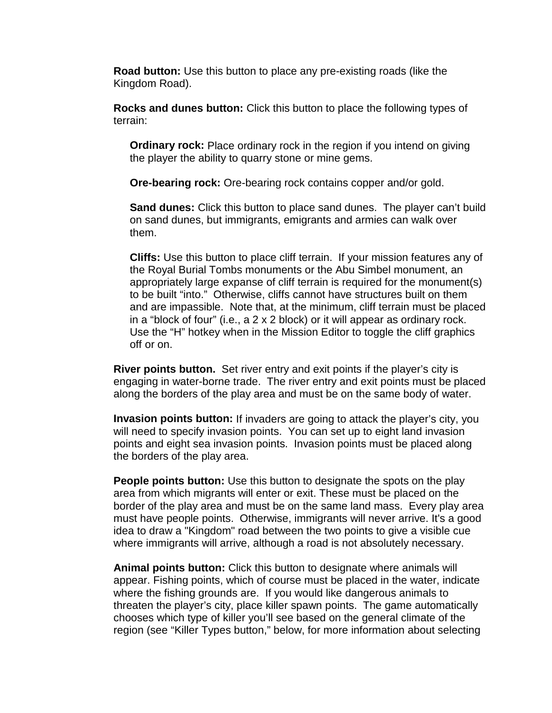**Road button:** Use this button to place any pre-existing roads (like the Kingdom Road).

**Rocks and dunes button:** Click this button to place the following types of terrain:

**Ordinary rock:** Place ordinary rock in the region if you intend on giving the player the ability to quarry stone or mine gems.

**Ore-bearing rock:** Ore-bearing rock contains copper and/or gold.

**Sand dunes:** Click this button to place sand dunes. The player can't build on sand dunes, but immigrants, emigrants and armies can walk over them.

**Cliffs:** Use this button to place cliff terrain. If your mission features any of the Royal Burial Tombs monuments or the Abu Simbel monument, an appropriately large expanse of cliff terrain is required for the monument(s) to be built "into." Otherwise, cliffs cannot have structures built on them and are impassible. Note that, at the minimum, cliff terrain must be placed in a "block of four" (i.e., a 2 x 2 block) or it will appear as ordinary rock. Use the "H" hotkey when in the Mission Editor to toggle the cliff graphics off or on.

**River points button.** Set river entry and exit points if the player's city is engaging in water-borne trade. The river entry and exit points must be placed along the borders of the play area and must be on the same body of water.

**Invasion points button:** If invaders are going to attack the player's city, you will need to specify invasion points. You can set up to eight land invasion points and eight sea invasion points. Invasion points must be placed along the borders of the play area.

**People points button:** Use this button to designate the spots on the play area from which migrants will enter or exit. These must be placed on the border of the play area and must be on the same land mass. Every play area must have people points. Otherwise, immigrants will never arrive. It's a good idea to draw a "Kingdom" road between the two points to give a visible cue where immigrants will arrive, although a road is not absolutely necessary.

**Animal points button:** Click this button to designate where animals will appear. Fishing points, which of course must be placed in the water, indicate where the fishing grounds are. If you would like dangerous animals to threaten the player's city, place killer spawn points. The game automatically chooses which type of killer you'll see based on the general climate of the region (see "Killer Types button," below, for more information about selecting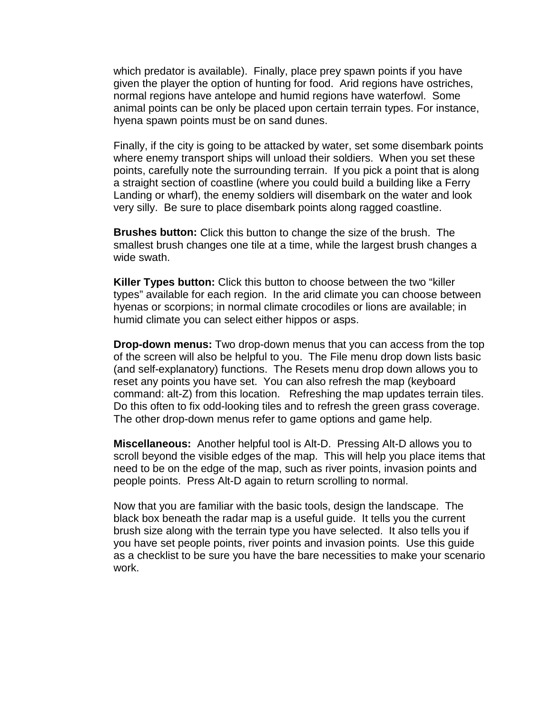which predator is available). Finally, place prey spawn points if you have given the player the option of hunting for food. Arid regions have ostriches, normal regions have antelope and humid regions have waterfowl. Some animal points can be only be placed upon certain terrain types. For instance, hyena spawn points must be on sand dunes.

Finally, if the city is going to be attacked by water, set some disembark points where enemy transport ships will unload their soldiers. When you set these points, carefully note the surrounding terrain. If you pick a point that is along a straight section of coastline (where you could build a building like a Ferry Landing or wharf), the enemy soldiers will disembark on the water and look very silly. Be sure to place disembark points along ragged coastline.

**Brushes button:** Click this button to change the size of the brush. The smallest brush changes one tile at a time, while the largest brush changes a wide swath.

**Killer Types button:** Click this button to choose between the two "killer types" available for each region. In the arid climate you can choose between hyenas or scorpions; in normal climate crocodiles or lions are available; in humid climate you can select either hippos or asps.

**Drop-down menus:** Two drop-down menus that you can access from the top of the screen will also be helpful to you. The File menu drop down lists basic (and self-explanatory) functions. The Resets menu drop down allows you to reset any points you have set. You can also refresh the map (keyboard command: alt-Z) from this location. Refreshing the map updates terrain tiles. Do this often to fix odd-looking tiles and to refresh the green grass coverage. The other drop-down menus refer to game options and game help.

**Miscellaneous:** Another helpful tool is Alt-D. Pressing Alt-D allows you to scroll beyond the visible edges of the map. This will help you place items that need to be on the edge of the map, such as river points, invasion points and people points. Press Alt-D again to return scrolling to normal.

Now that you are familiar with the basic tools, design the landscape. The black box beneath the radar map is a useful guide. It tells you the current brush size along with the terrain type you have selected. It also tells you if you have set people points, river points and invasion points. Use this guide as a checklist to be sure you have the bare necessities to make your scenario work.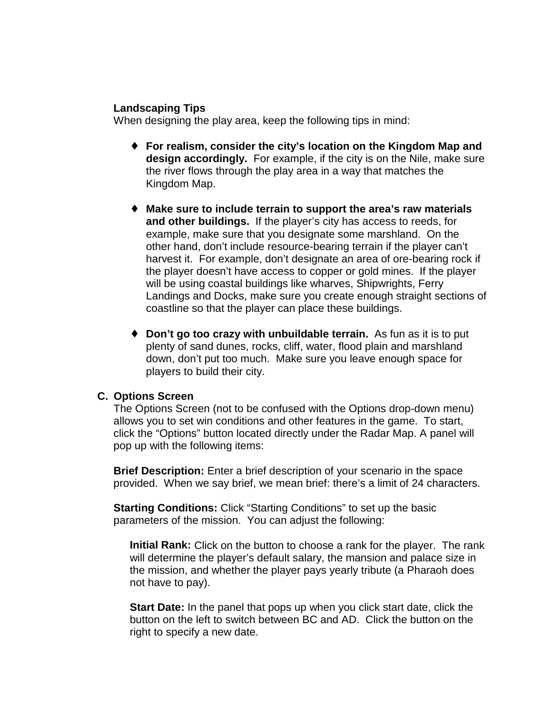## <span id="page-9-0"></span>**Landscaping Tips**

When designing the play area, keep the following tips in mind:

- ♦ **For realism, consider the city's location on the Kingdom Map and design accordingly.** For example, if the city is on the Nile, make sure the river flows through the play area in a way that matches the Kingdom Map.
- ♦ **Make sure to include terrain to support the area's raw materials and other buildings.** If the player's city has access to reeds, for example, make sure that you designate some marshland. On the other hand, don't include resource-bearing terrain if the player can't harvest it. For example, don't designate an area of ore-bearing rock if the player doesn't have access to copper or gold mines. If the player will be using coastal buildings like wharves, Shipwrights, Ferry Landings and Docks, make sure you create enough straight sections of coastline so that the player can place these buildings.
- ♦ **Don't go too crazy with unbuildable terrain.** As fun as it is to put plenty of sand dunes, rocks, cliff, water, flood plain and marshland down, don't put too much. Make sure you leave enough space for players to build their city.

## **C. Options Screen**

The Options Screen (not to be confused with the Options drop-down menu) allows you to set win conditions and other features in the game. To start, click the "Options" button located directly under the Radar Map. A panel will pop up with the following items:

**Brief Description:** Enter a brief description of your scenario in the space provided. When we say brief, we mean brief: there's a limit of 24 characters.

**Starting Conditions:** Click "Starting Conditions" to set up the basic parameters of the mission. You can adjust the following:

**Initial Rank:** Click on the button to choose a rank for the player. The rank will determine the player's default salary, the mansion and palace size in the mission, and whether the player pays yearly tribute (a Pharaoh does not have to pay).

**Start Date:** In the panel that pops up when you click start date, click the button on the left to switch between BC and AD. Click the button on the right to specify a new date.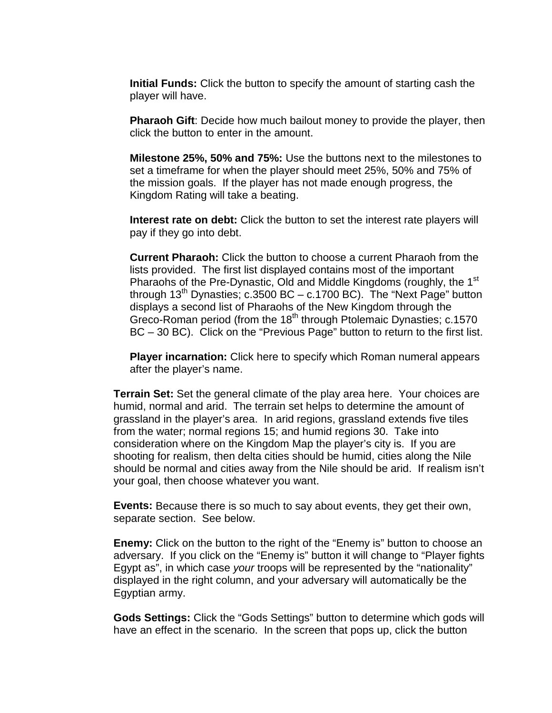**Initial Funds:** Click the button to specify the amount of starting cash the player will have.

**Pharaoh Gift**: Decide how much bailout money to provide the player, then click the button to enter in the amount.

**Milestone 25%, 50% and 75%:** Use the buttons next to the milestones to set a timeframe for when the player should meet 25%, 50% and 75% of the mission goals. If the player has not made enough progress, the Kingdom Rating will take a beating.

**Interest rate on debt:** Click the button to set the interest rate players will pay if they go into debt.

**Current Pharaoh:** Click the button to choose a current Pharaoh from the lists provided. The first list displayed contains most of the important Pharaohs of the Pre-Dynastic, Old and Middle Kingdoms (roughly, the 1<sup>st</sup> through  $13<sup>th</sup>$  Dynasties; c.3500 BC – c.1700 BC). The "Next Page" button displays a second list of Pharaohs of the New Kingdom through the Greco-Roman period (from the 18<sup>th</sup> through Ptolemaic Dynasties; c.1570 BC – 30 BC). Click on the "Previous Page" button to return to the first list.

**Player incarnation:** Click here to specify which Roman numeral appears after the player's name.

**Terrain Set:** Set the general climate of the play area here. Your choices are humid, normal and arid. The terrain set helps to determine the amount of grassland in the player's area. In arid regions, grassland extends five tiles from the water; normal regions 15; and humid regions 30. Take into consideration where on the Kingdom Map the player's city is. If you are shooting for realism, then delta cities should be humid, cities along the Nile should be normal and cities away from the Nile should be arid. If realism isn't your goal, then choose whatever you want.

**Events:** Because there is so much to say about events, they get their own, separate section. See below.

**Enemy:** Click on the button to the right of the "Enemy is" button to choose an adversary. If you click on the "Enemy is" button it will change to "Player fights Egypt as", in which case your troops will be represented by the "nationality" displayed in the right column, and your adversary will automatically be the Egyptian army.

**Gods Settings:** Click the "Gods Settings" button to determine which gods will have an effect in the scenario. In the screen that pops up, click the button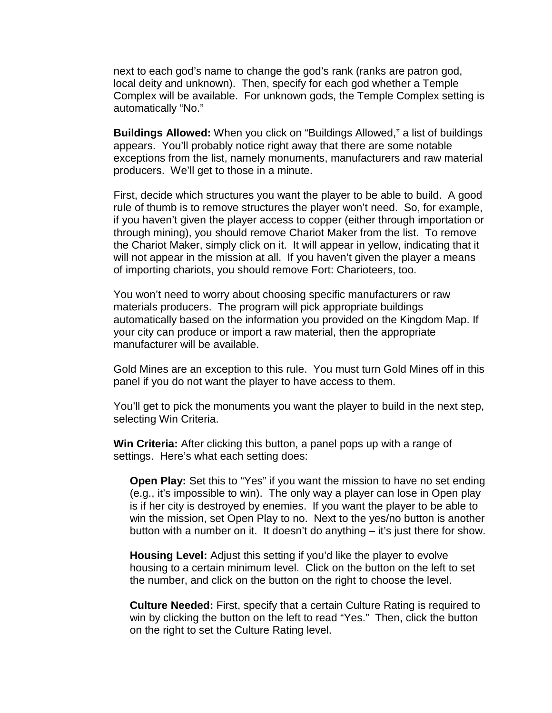next to each god's name to change the god's rank (ranks are patron god, local deity and unknown). Then, specify for each god whether a Temple Complex will be available. For unknown gods, the Temple Complex setting is automatically "No."

**Buildings Allowed:** When you click on "Buildings Allowed," a list of buildings appears. You'll probably notice right away that there are some notable exceptions from the list, namely monuments, manufacturers and raw material producers. We'll get to those in a minute.

First, decide which structures you want the player to be able to build. A good rule of thumb is to remove structures the player won't need. So, for example, if you haven't given the player access to copper (either through importation or through mining), you should remove Chariot Maker from the list. To remove the Chariot Maker, simply click on it. It will appear in yellow, indicating that it will not appear in the mission at all. If you haven't given the player a means of importing chariots, you should remove Fort: Charioteers, too.

You won't need to worry about choosing specific manufacturers or raw materials producers. The program will pick appropriate buildings automatically based on the information you provided on the Kingdom Map. If your city can produce or import a raw material, then the appropriate manufacturer will be available.

Gold Mines are an exception to this rule. You must turn Gold Mines off in this panel if you do not want the player to have access to them.

You'll get to pick the monuments you want the player to build in the next step, selecting Win Criteria.

**Win Criteria:** After clicking this button, a panel pops up with a range of settings. Here's what each setting does:

**Open Play:** Set this to "Yes" if you want the mission to have no set ending (e.g., it's impossible to win). The only way a player can lose in Open play is if her city is destroyed by enemies. If you want the player to be able to win the mission, set Open Play to no. Next to the yes/no button is another button with a number on it. It doesn't do anything – it's just there for show.

**Housing Level:** Adjust this setting if you'd like the player to evolve housing to a certain minimum level. Click on the button on the left to set the number, and click on the button on the right to choose the level.

**Culture Needed:** First, specify that a certain Culture Rating is required to win by clicking the button on the left to read "Yes." Then, click the button on the right to set the Culture Rating level.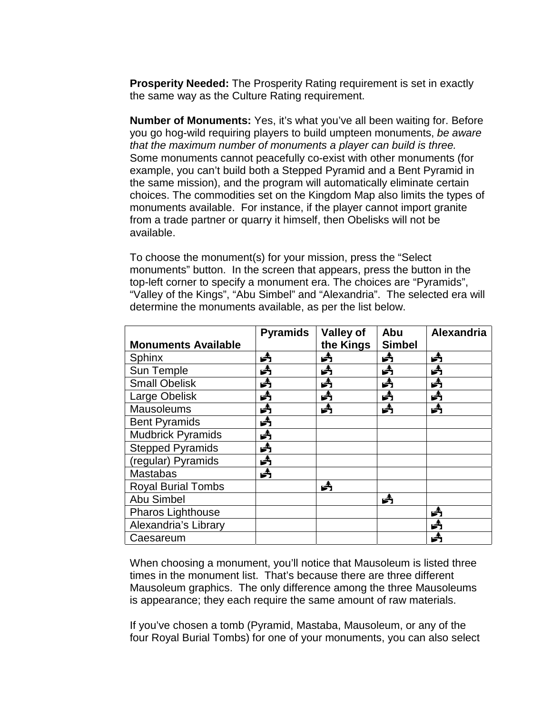**Prosperity Needed:** The Prosperity Rating requirement is set in exactly the same way as the Culture Rating requirement.

**Number of Monuments:** Yes, it's what you've all been waiting for. Before you go hog-wild requiring players to build umpteen monuments, be aware that the maximum number of monuments a player can build is three. Some monuments cannot peacefully co-exist with other monuments (for example, you can't build both a Stepped Pyramid and a Bent Pyramid in the same mission), and the program will automatically eliminate certain choices. The commodities set on the Kingdom Map also limits the types of monuments available. For instance, if the player cannot import granite from a trade partner or quarry it himself, then Obelisks will not be available.

To choose the monument(s) for your mission, press the "Select monuments" button. In the screen that appears, press the button in the top-left corner to specify a monument era. The choices are "Pyramids", "Valley of the Kings", "Abu Simbel" and "Alexandria". The selected era will determine the monuments available, as per the list below.

|                            | <b>Pyramids</b> | Valley of | Abu           | Alexandria |
|----------------------------|-----------------|-----------|---------------|------------|
| <b>Monuments Available</b> |                 | the Kings | <b>Simbel</b> |            |
| Sphinx                     | 头               | Å         | 头             | Å          |
| Sun Temple                 | 歭               | 头         | 歭             | 歭          |
| <b>Small Obelisk</b>       | 头               | 头         | 头             | 头          |
| Large Obelisk              | 头               | Å         | 头             | 头          |
| <b>Mausoleums</b>          | 头               | 头         | 头             | 头          |
| <b>Bent Pyramids</b>       | 头               |           |               |            |
| <b>Mudbrick Pyramids</b>   | 头               |           |               |            |
| <b>Stepped Pyramids</b>    | 歭               |           |               |            |
| (regular) Pyramids         | 头               |           |               |            |
| <b>Mastabas</b>            | Å               |           |               |            |
| <b>Royal Burial Tombs</b>  |                 | 头         |               |            |
| Abu Simbel                 |                 |           | 弄             |            |
| <b>Pharos Lighthouse</b>   |                 |           |               | 头          |
| Alexandria's Library       |                 |           |               | 弄          |
| Caesareum                  |                 |           |               | Å          |

When choosing a monument, you'll notice that Mausoleum is listed three times in the monument list. That's because there are three different Mausoleum graphics. The only difference among the three Mausoleums is appearance; they each require the same amount of raw materials.

If you've chosen a tomb (Pyramid, Mastaba, Mausoleum, or any of the four Royal Burial Tombs) for one of your monuments, you can also select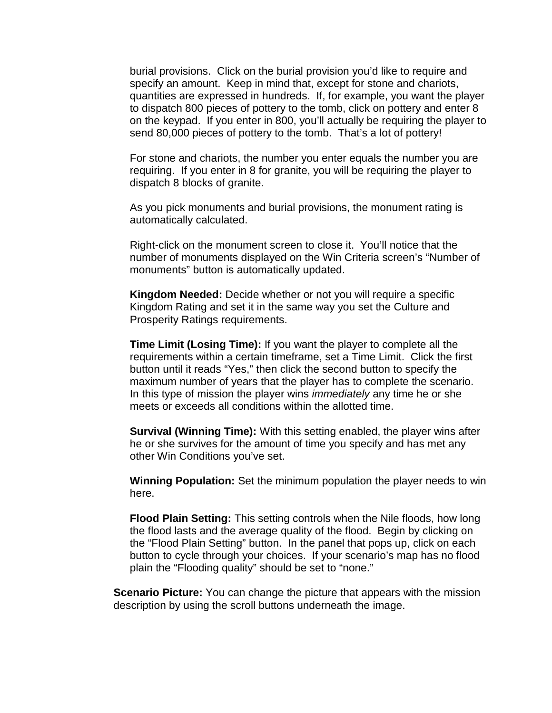burial provisions. Click on the burial provision you'd like to require and specify an amount. Keep in mind that, except for stone and chariots, quantities are expressed in hundreds. If, for example, you want the player to dispatch 800 pieces of pottery to the tomb, click on pottery and enter 8 on the keypad. If you enter in 800, you'll actually be requiring the player to send 80,000 pieces of pottery to the tomb. That's a lot of pottery!

For stone and chariots, the number you enter equals the number you are requiring. If you enter in 8 for granite, you will be requiring the player to dispatch 8 blocks of granite.

As you pick monuments and burial provisions, the monument rating is automatically calculated.

Right-click on the monument screen to close it. You'll notice that the number of monuments displayed on the Win Criteria screen's "Number of monuments" button is automatically updated.

**Kingdom Needed:** Decide whether or not you will require a specific Kingdom Rating and set it in the same way you set the Culture and Prosperity Ratings requirements.

**Time Limit (Losing Time):** If you want the player to complete all the requirements within a certain timeframe, set a Time Limit. Click the first button until it reads "Yes," then click the second button to specify the maximum number of years that the player has to complete the scenario. In this type of mission the player wins *immediately* any time he or she meets or exceeds all conditions within the allotted time.

**Survival (Winning Time):** With this setting enabled, the player wins after he or she survives for the amount of time you specify and has met any other Win Conditions you've set.

**Winning Population:** Set the minimum population the player needs to win here.

**Flood Plain Setting:** This setting controls when the Nile floods, how long the flood lasts and the average quality of the flood. Begin by clicking on the "Flood Plain Setting" button. In the panel that pops up, click on each button to cycle through your choices. If your scenario's map has no flood plain the "Flooding quality" should be set to "none."

**Scenario Picture:** You can change the picture that appears with the mission description by using the scroll buttons underneath the image.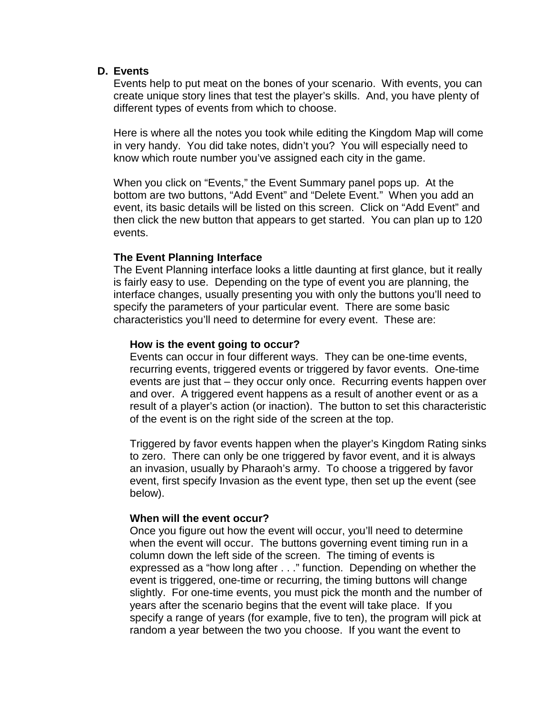### <span id="page-14-0"></span>**D. Events**

Events help to put meat on the bones of your scenario. With events, you can create unique story lines that test the player's skills. And, you have plenty of different types of events from which to choose.

Here is where all the notes you took while editing the Kingdom Map will come in very handy. You did take notes, didn't you? You will especially need to know which route number you've assigned each city in the game.

When you click on "Events," the Event Summary panel pops up. At the bottom are two buttons, "Add Event" and "Delete Event." When you add an event, its basic details will be listed on this screen. Click on "Add Event" and then click the new button that appears to get started. You can plan up to 120 events.

## **The Event Planning Interface**

The Event Planning interface looks a little daunting at first glance, but it really is fairly easy to use. Depending on the type of event you are planning, the interface changes, usually presenting you with only the buttons you'll need to specify the parameters of your particular event. There are some basic characteristics you'll need to determine for every event. These are:

## **How is the event going to occur?**

Events can occur in four different ways. They can be one-time events, recurring events, triggered events or triggered by favor events. One-time events are just that – they occur only once. Recurring events happen over and over. A triggered event happens as a result of another event or as a result of a player's action (or inaction). The button to set this characteristic of the event is on the right side of the screen at the top.

Triggered by favor events happen when the player's Kingdom Rating sinks to zero. There can only be one triggered by favor event, and it is always an invasion, usually by Pharaoh's army. To choose a triggered by favor event, first specify Invasion as the event type, then set up the event (see below).

### **When will the event occur?**

Once you figure out how the event will occur, you'll need to determine when the event will occur. The buttons governing event timing run in a column down the left side of the screen. The timing of events is expressed as a "how long after . . ." function. Depending on whether the event is triggered, one-time or recurring, the timing buttons will change slightly. For one-time events, you must pick the month and the number of years after the scenario begins that the event will take place. If you specify a range of years (for example, five to ten), the program will pick at random a year between the two you choose. If you want the event to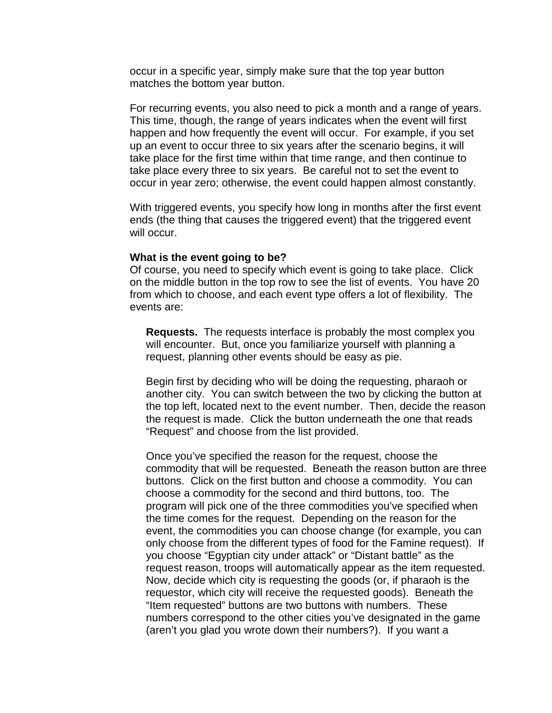occur in a specific year, simply make sure that the top year button matches the bottom year button.

For recurring events, you also need to pick a month and a range of years. This time, though, the range of years indicates when the event will first happen and how frequently the event will occur. For example, if you set up an event to occur three to six years after the scenario begins, it will take place for the first time within that time range, and then continue to take place every three to six years. Be careful not to set the event to occur in year zero; otherwise, the event could happen almost constantly.

With triggered events, you specify how long in months after the first event ends (the thing that causes the triggered event) that the triggered event will occur.

#### **What is the event going to be?**

Of course, you need to specify which event is going to take place. Click on the middle button in the top row to see the list of events. You have 20 from which to choose, and each event type offers a lot of flexibility. The events are:

**Requests.** The requests interface is probably the most complex you will encounter. But, once you familiarize yourself with planning a request, planning other events should be easy as pie.

Begin first by deciding who will be doing the requesting, pharaoh or another city. You can switch between the two by clicking the button at the top left, located next to the event number. Then, decide the reason the request is made. Click the button underneath the one that reads "Request" and choose from the list provided.

Once you've specified the reason for the request, choose the commodity that will be requested. Beneath the reason button are three buttons. Click on the first button and choose a commodity. You can choose a commodity for the second and third buttons, too. The program will pick one of the three commodities you've specified when the time comes for the request. Depending on the reason for the event, the commodities you can choose change (for example, you can only choose from the different types of food for the Famine request). If you choose "Egyptian city under attack" or "Distant battle" as the request reason, troops will automatically appear as the item requested. Now, decide which city is requesting the goods (or, if pharaoh is the requestor, which city will receive the requested goods). Beneath the "Item requested" buttons are two buttons with numbers. These numbers correspond to the other cities you've designated in the game (aren't you glad you wrote down their numbers?). If you want a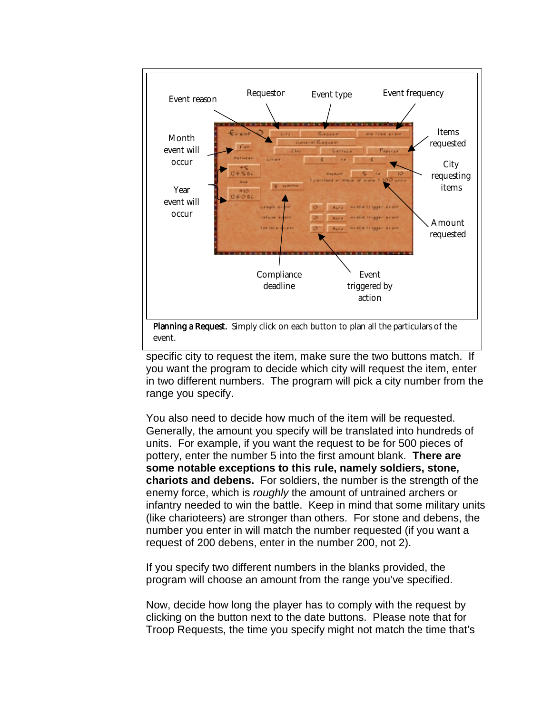

event.

specific city to request the item, make sure the two buttons match. If you want the program to decide which city will request the item, enter in two different numbers. The program will pick a city number from the range you specify.

You also need to decide how much of the item will be requested. Generally, the amount you specify will be translated into hundreds of units. For example, if you want the request to be for 500 pieces of pottery, enter the number 5 into the first amount blank. **There are some notable exceptions to this rule, namely soldiers, stone, chariots and debens.** For soldiers, the number is the strength of the enemy force, which is roughly the amount of untrained archers or infantry needed to win the battle. Keep in mind that some military units (like charioteers) are stronger than others. For stone and debens, the number you enter in will match the number requested (if you want a request of 200 debens, enter in the number 200, not 2).

If you specify two different numbers in the blanks provided, the program will choose an amount from the range you've specified.

Now, decide how long the player has to comply with the request by clicking on the button next to the date buttons. Please note that for Troop Requests, the time you specify might not match the time that's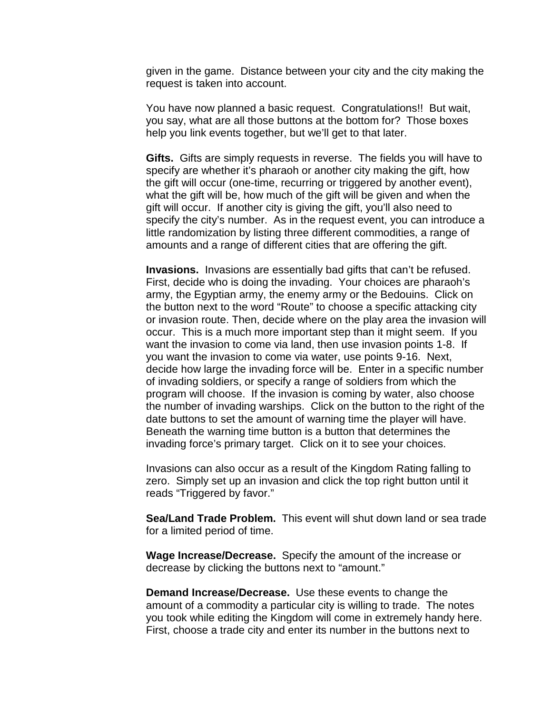given in the game. Distance between your city and the city making the request is taken into account.

You have now planned a basic request. Congratulations!! But wait, you say, what are all those buttons at the bottom for? Those boxes help you link events together, but we'll get to that later.

**Gifts.** Gifts are simply requests in reverse. The fields you will have to specify are whether it's pharaoh or another city making the gift, how the gift will occur (one-time, recurring or triggered by another event), what the gift will be, how much of the gift will be given and when the gift will occur. If another city is giving the gift, you'll also need to specify the city's number. As in the request event, you can introduce a little randomization by listing three different commodities, a range of amounts and a range of different cities that are offering the gift.

**Invasions.** Invasions are essentially bad gifts that can't be refused. First, decide who is doing the invading. Your choices are pharaoh's army, the Egyptian army, the enemy army or the Bedouins. Click on the button next to the word "Route" to choose a specific attacking city or invasion route. Then, decide where on the play area the invasion will occur. This is a much more important step than it might seem. If you want the invasion to come via land, then use invasion points 1-8. If you want the invasion to come via water, use points 9-16. Next, decide how large the invading force will be. Enter in a specific number of invading soldiers, or specify a range of soldiers from which the program will choose. If the invasion is coming by water, also choose the number of invading warships. Click on the button to the right of the date buttons to set the amount of warning time the player will have. Beneath the warning time button is a button that determines the invading force's primary target. Click on it to see your choices.

Invasions can also occur as a result of the Kingdom Rating falling to zero. Simply set up an invasion and click the top right button until it reads "Triggered by favor."

**Sea/Land Trade Problem.** This event will shut down land or sea trade for a limited period of time.

**Wage Increase/Decrease.** Specify the amount of the increase or decrease by clicking the buttons next to "amount."

**Demand Increase/Decrease.** Use these events to change the amount of a commodity a particular city is willing to trade. The notes you took while editing the Kingdom will come in extremely handy here. First, choose a trade city and enter its number in the buttons next to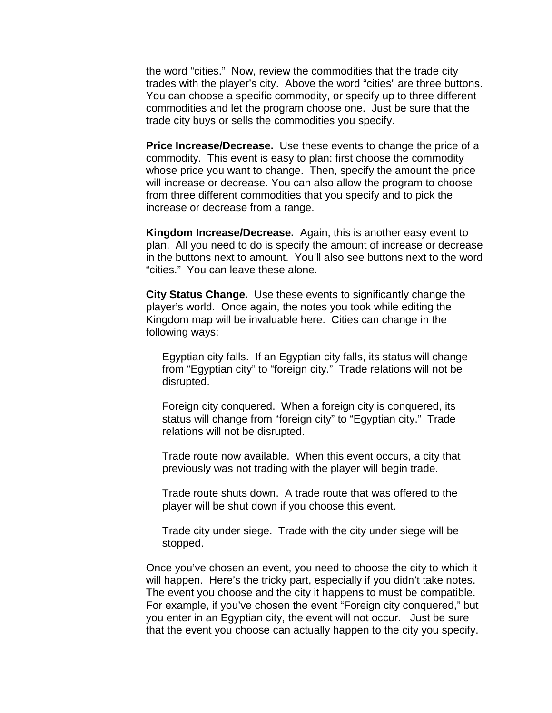the word "cities." Now, review the commodities that the trade city trades with the player's city. Above the word "cities" are three buttons. You can choose a specific commodity, or specify up to three different commodities and let the program choose one. Just be sure that the trade city buys or sells the commodities you specify.

**Price Increase/Decrease.** Use these events to change the price of a commodity. This event is easy to plan: first choose the commodity whose price you want to change. Then, specify the amount the price will increase or decrease. You can also allow the program to choose from three different commodities that you specify and to pick the increase or decrease from a range.

**Kingdom Increase/Decrease.** Again, this is another easy event to plan. All you need to do is specify the amount of increase or decrease in the buttons next to amount. You'll also see buttons next to the word "cities." You can leave these alone.

**City Status Change.** Use these events to significantly change the player's world. Once again, the notes you took while editing the Kingdom map will be invaluable here. Cities can change in the following ways:

Egyptian city falls. If an Egyptian city falls, its status will change from "Egyptian city" to "foreign city." Trade relations will not be disrupted.

Foreign city conquered. When a foreign city is conquered, its status will change from "foreign city" to "Egyptian city." Trade relations will not be disrupted.

Trade route now available. When this event occurs, a city that previously was not trading with the player will begin trade.

Trade route shuts down. A trade route that was offered to the player will be shut down if you choose this event.

Trade city under siege. Trade with the city under siege will be stopped.

Once you've chosen an event, you need to choose the city to which it will happen. Here's the tricky part, especially if you didn't take notes. The event you choose and the city it happens to must be compatible. For example, if you've chosen the event "Foreign city conquered," but you enter in an Egyptian city, the event will not occur. Just be sure that the event you choose can actually happen to the city you specify.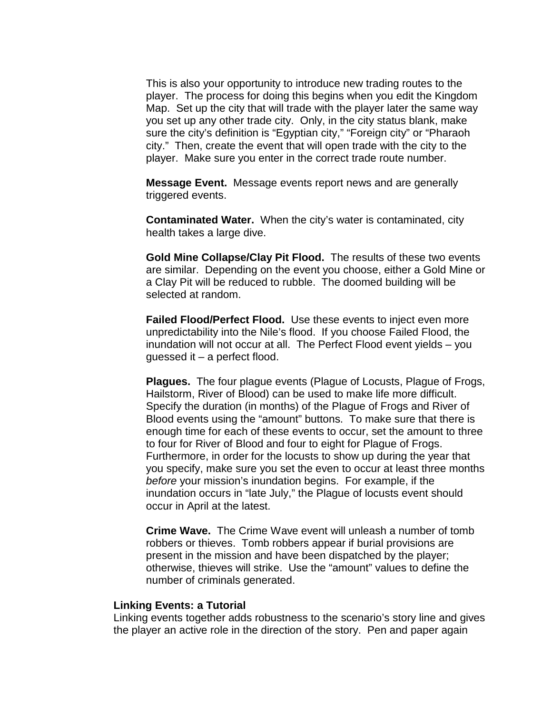This is also your opportunity to introduce new trading routes to the player. The process for doing this begins when you edit the Kingdom Map. Set up the city that will trade with the player later the same way you set up any other trade city. Only, in the city status blank, make sure the city's definition is "Egyptian city," "Foreign city" or "Pharaoh city." Then, create the event that will open trade with the city to the player. Make sure you enter in the correct trade route number.

**Message Event.** Message events report news and are generally triggered events.

**Contaminated Water.** When the city's water is contaminated, city health takes a large dive.

**Gold Mine Collapse/Clay Pit Flood.** The results of these two events are similar. Depending on the event you choose, either a Gold Mine or a Clay Pit will be reduced to rubble. The doomed building will be selected at random.

**Failed Flood/Perfect Flood.** Use these events to inject even more unpredictability into the Nile's flood. If you choose Failed Flood, the inundation will not occur at all. The Perfect Flood event yields – you guessed it – a perfect flood.

**Plagues.** The four plague events (Plague of Locusts, Plague of Frogs, Hailstorm, River of Blood) can be used to make life more difficult. Specify the duration (in months) of the Plague of Frogs and River of Blood events using the "amount" buttons. To make sure that there is enough time for each of these events to occur, set the amount to three to four for River of Blood and four to eight for Plague of Frogs. Furthermore, in order for the locusts to show up during the year that you specify, make sure you set the even to occur at least three months before your mission's inundation begins. For example, if the inundation occurs in "late July," the Plague of locusts event should occur in April at the latest.

**Crime Wave.** The Crime Wave event will unleash a number of tomb robbers or thieves. Tomb robbers appear if burial provisions are present in the mission and have been dispatched by the player; otherwise, thieves will strike. Use the "amount" values to define the number of criminals generated.

#### **Linking Events: a Tutorial**

Linking events together adds robustness to the scenario's story line and gives the player an active role in the direction of the story. Pen and paper again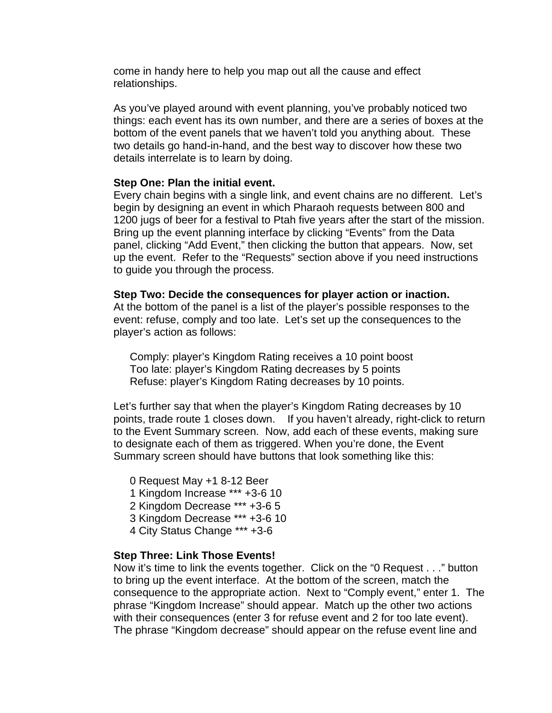come in handy here to help you map out all the cause and effect relationships.

As you've played around with event planning, you've probably noticed two things: each event has its own number, and there are a series of boxes at the bottom of the event panels that we haven't told you anything about. These two details go hand-in-hand, and the best way to discover how these two details interrelate is to learn by doing.

#### **Step One: Plan the initial event.**

Every chain begins with a single link, and event chains are no different. Let's begin by designing an event in which Pharaoh requests between 800 and 1200 jugs of beer for a festival to Ptah five years after the start of the mission. Bring up the event planning interface by clicking "Events" from the Data panel, clicking "Add Event," then clicking the button that appears. Now, set up the event. Refer to the "Requests" section above if you need instructions to guide you through the process.

**Step Two: Decide the consequences for player action or inaction.** At the bottom of the panel is a list of the player's possible responses to the event: refuse, comply and too late. Let's set up the consequences to the player's action as follows:

Comply: player's Kingdom Rating receives a 10 point boost Too late: player's Kingdom Rating decreases by 5 points Refuse: player's Kingdom Rating decreases by 10 points.

Let's further say that when the player's Kingdom Rating decreases by 10 points, trade route 1 closes down. If you haven't already, right-click to return to the Event Summary screen. Now, add each of these events, making sure to designate each of them as triggered. When you're done, the Event Summary screen should have buttons that look something like this:

0 Request May +1 8-12 Beer 1 Kingdom Increase \*\*\* +3-6 10 2 Kingdom Decrease \*\*\* +3-6 5 3 Kingdom Decrease \*\*\* +3-6 10 4 City Status Change \*\*\* +3-6

#### **Step Three: Link Those Events!**

Now it's time to link the events together. Click on the "0 Request . . ." button to bring up the event interface. At the bottom of the screen, match the consequence to the appropriate action. Next to "Comply event," enter 1. The phrase "Kingdom Increase" should appear. Match up the other two actions with their consequences (enter 3 for refuse event and 2 for too late event). The phrase "Kingdom decrease" should appear on the refuse event line and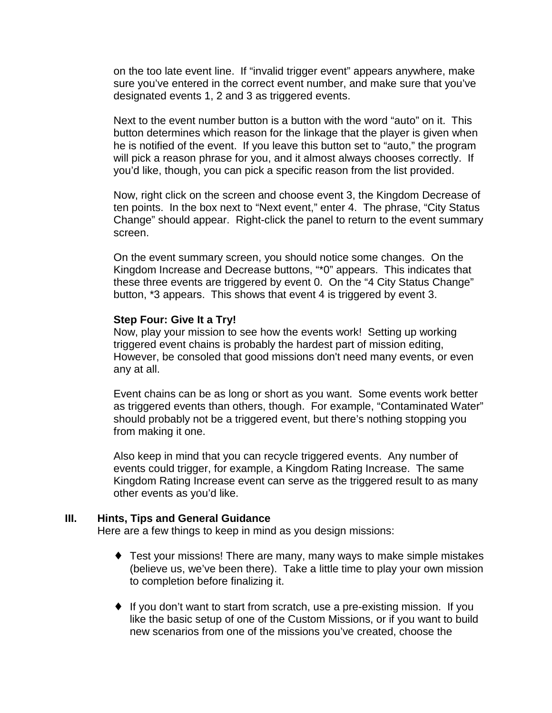<span id="page-21-0"></span>on the too late event line. If "invalid trigger event" appears anywhere, make sure you've entered in the correct event number, and make sure that you've designated events 1, 2 and 3 as triggered events.

Next to the event number button is a button with the word "auto" on it. This button determines which reason for the linkage that the player is given when he is notified of the event. If you leave this button set to "auto," the program will pick a reason phrase for you, and it almost always chooses correctly. If you'd like, though, you can pick a specific reason from the list provided.

Now, right click on the screen and choose event 3, the Kingdom Decrease of ten points. In the box next to "Next event," enter 4. The phrase, "City Status Change" should appear. Right-click the panel to return to the event summary screen.

On the event summary screen, you should notice some changes. On the Kingdom Increase and Decrease buttons, "\*0" appears. This indicates that these three events are triggered by event 0. On the "4 City Status Change" button, \*3 appears. This shows that event 4 is triggered by event 3.

### **Step Four: Give It a Try!**

Now, play your mission to see how the events work! Setting up working triggered event chains is probably the hardest part of mission editing, However, be consoled that good missions don't need many events, or even any at all.

Event chains can be as long or short as you want. Some events work better as triggered events than others, though. For example, "Contaminated Water" should probably not be a triggered event, but there's nothing stopping you from making it one.

Also keep in mind that you can recycle triggered events. Any number of events could trigger, for example, a Kingdom Rating Increase. The same Kingdom Rating Increase event can serve as the triggered result to as many other events as you'd like.

### **III. Hints, Tips and General Guidance**

Here are a few things to keep in mind as you design missions:

- ♦ Test your missions! There are many, many ways to make simple mistakes (believe us, we've been there). Take a little time to play your own mission to completion before finalizing it.
- ♦ If you don't want to start from scratch, use a pre-existing mission. If you like the basic setup of one of the Custom Missions, or if you want to build new scenarios from one of the missions you've created, choose the